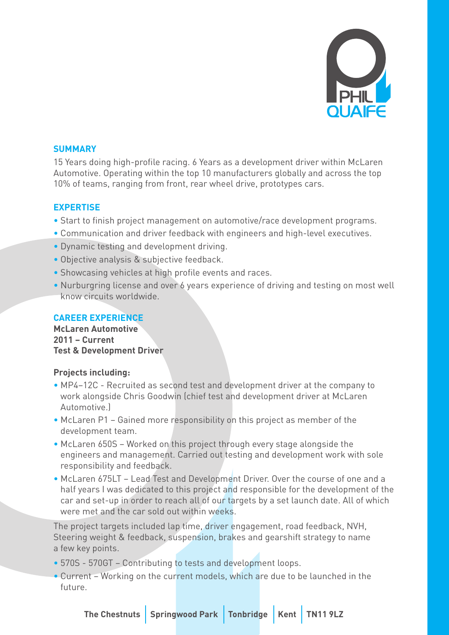

### **SUMMARY**

15 Years doing high-profile racing. 6 Years as a development driver within McLaren Automotive. Operating within the top 10 manufacturers globally and across the top 10% of teams, ranging from front, rear wheel drive, prototypes cars.

## **EXPERTISE**

- Start to finish project management on automotive/race development programs.
- Communication and driver feedback with engineers and high-level executives.
- Dynamic testing and development driving.
- Objective analysis & subjective feedback.
- Showcasing vehicles at high profile events and races.
- Nurburgring license and over 6 years experience of driving and testing on most well know circuits worldwide.

# **CAREER EXPERIENCE**

**McLaren Automotive 2011 – Current Test & Development Driver**

### **Projects including:**

- MP4–12C Recruited as second test and development driver at the company to work alongside Chris Goodwin (chief test and development driver at McLaren Automotive.)
- McLaren P1 Gained more responsibility on this project as member of the development team.
- McLaren 650S Worked on this project through every stage alongside the engineers and management. Carried out testing and development work with sole responsibility and feedback.
- McLaren 675LT Lead Test and Development Driver. Over the course of one and a half years I was dedicated to this project and responsible for the development of the car and set-up in order to reach all of our targets by a set launch date. All of which were met and the car sold out within weeks.

The project targets included lap time, driver engagement, road feedback, NVH, Steering weight & feedback, suspension, brakes and gearshift strategy to name a few key points.

- 570S 570GT Contributing to tests and development loops.
- Current Working on the current models, which are due to be launched in the future.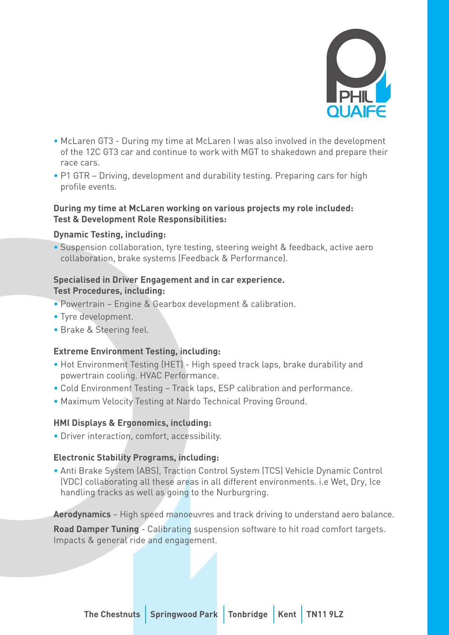

- McLaren GT3 During my time at McLaren I was also involved in the development of the 12C GT3 car and continue to work with MGT to shakedown and prepare their race cars.
- P1 GTR Driving, development and durability testing. Preparing cars for high profile events.

#### **During my time at McLaren working on various projects my role included: Test & Development Role Responsibilities:**

### **Dynamic Testing, including:**

• Suspension collaboration, tyre testing, steering weight & feedback, active aero collaboration, brake systems (Feedback & Performance).

#### **Specialised in Driver Engagement and in car experience. Test Procedures, including:**

- Powertrain Engine & Gearbox development & calibration.
- Tyre development.
- Brake & Steering feel.

# **Extreme Environment Testing, including:**

- Hot Environment Testing (HET) High speed track laps, brake durability and powertrain cooling. HVAC Performance.
- Cold Environment Testing Track laps, ESP calibration and performance.
- Maximum Velocity Testing at Nardo Technical Proving Ground.

# **HMI Displays & Ergonomics, including:**

• Driver interaction, comfort, accessibility.

# **Electronic Stability Programs, including:**

• Anti Brake System (ABS), Traction Control System (TCS) Vehicle Dynamic Control (VDC) collaborating all these areas in all different environments. i.e Wet, Dry, Ice handling tracks as well as going to the Nurburgring.

**Aerodynamics** – High speed manoeuvres and track driving to understand aero balance.

**Road Damper Tuning** - Calibrating suspension software to hit road comfort targets. Impacts & general ride and engagement.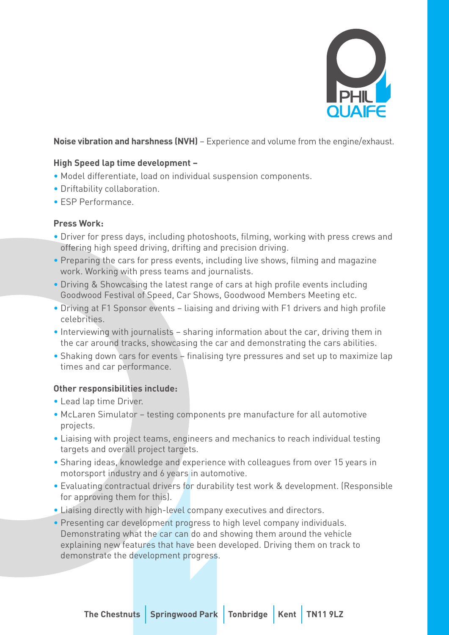

# **Noise vibration and harshness (NVH)** – Experience and volume from the engine/exhaust.

# **High Speed lap time development –**

- Model differentiate, load on individual suspension components.
- Driftability collaboration.
- ESP Performance.

## **Press Work:**

- Driver for press days, including photoshoots, filming, working with press crews and offering high speed driving, drifting and precision driving.
- Preparing the cars for press events, including live shows, filming and magazine work. Working with press teams and journalists.
- Driving & Showcasing the latest range of cars at high profile events including Goodwood Festival of Speed, Car Shows, Goodwood Members Meeting etc.
- Driving at F1 Sponsor events liaising and driving with F1 drivers and high profile celebrities.
- Interviewing with journalists sharing information about the car, driving them in the car around tracks, showcasing the car and demonstrating the cars abilities.
- Shaking down cars for events finalising tyre pressures and set up to maximize lap times and car performance.

# **Other responsibilities include:**

- Lead lap time Driver.
- McLaren Simulator testing components pre manufacture for all automotive projects.
- Liaising with project teams, engineers and mechanics to reach individual testing targets and overall project targets.
- Sharing ideas, knowledge and experience with colleagues from over 15 years in motorsport industry and 6 years in automotive.
- Evaluating contractual drivers for durability test work & development. (Responsible for approving them for this).
- Liaising directly with high-level company executives and directors.
- Presenting car development progress to high level company individuals. Demonstrating what the car can do and showing them around the vehicle explaining new features that have been developed. Driving them on track to demonstrate the development progress.